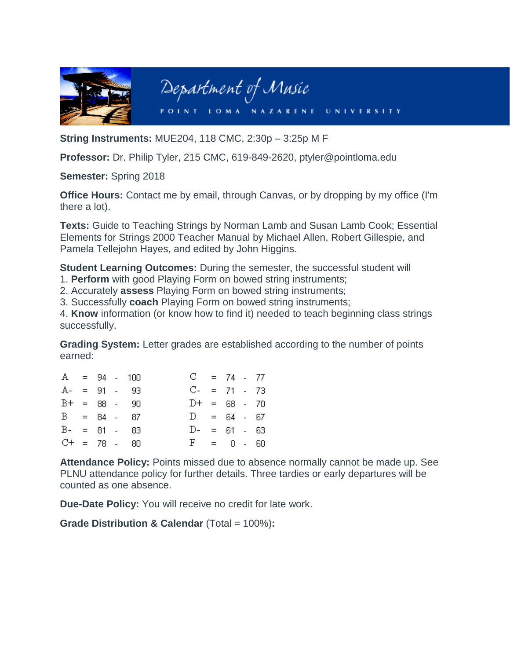

**String Instruments:** MUE204, 118 CMC, 2:30p – 3:25p M F

**Professor:** Dr. Philip Tyler, 215 CMC, 619-849-2620, ptyler@pointloma.edu

**Semester:** Spring 2018

**Office Hours:** Contact me by email, through Canvas, or by dropping by my office (I'm there a lot).

**Texts:** Guide to Teaching Strings by Norman Lamb and Susan Lamb Cook; Essential Elements for Strings 2000 Teacher Manual by Michael Allen, Robert Gillespie, and Pamela Tellejohn Hayes, and edited by John Higgins.

**Student Learning Outcomes:** During the semester, the successful student will

1. **Perform** with good Playing Form on bowed string instruments;

2. Accurately **assess** Playing Form on bowed string instruments;

3. Successfully **coach** Playing Form on bowed string instruments;

4. **Know** information (or know how to find it) needed to teach beginning class strings successfully.

**Grading System:** Letter grades are established according to the number of points earned:

| $A = 94 - 100$ |  |                 | $C = 74 - 77$   |  |  |
|----------------|--|-----------------|-----------------|--|--|
|                |  | $A- = 91 - 93$  | $C- = 71 - 73$  |  |  |
|                |  | $B+ = 88 - 90$  | $D+ = 68 - 70$  |  |  |
| $B = 84 - 87$  |  |                 | $D = 64 - 67$   |  |  |
|                |  | $B - = 81 - 83$ | $D - = 61 - 63$ |  |  |
|                |  | $C+ = 78 - 80$  | $F = 0 - 60$    |  |  |

**Attendance Policy:** Points missed due to absence normally cannot be made up. See PLNU attendance policy for further details. Three tardies or early departures will be counted as one absence.

**Due-Date Policy:** You will receive no credit for late work.

**Grade Distribution & Calendar** (Total = 100%)**:**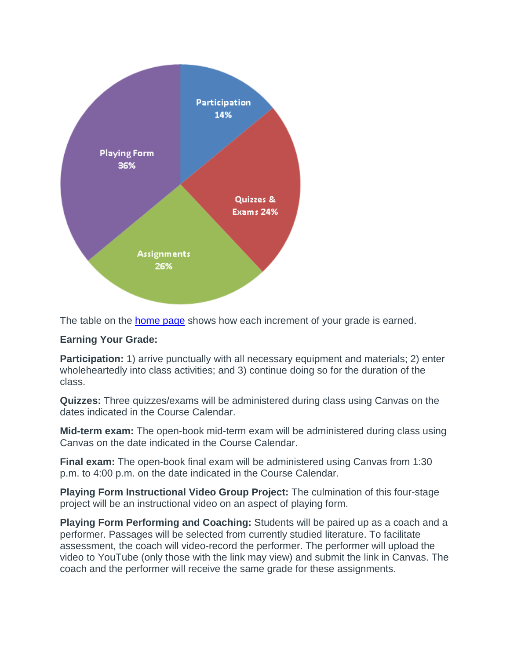

The table on the [home page](https://canvas.pointloma.edu/courses/37167/pages/front-page) shows how each increment of your grade is earned.

## **Earning Your Grade:**

**Participation:** 1) arrive punctually with all necessary equipment and materials; 2) enter wholeheartedly into class activities; and 3) continue doing so for the duration of the class.

**Quizzes:** Three quizzes/exams will be administered during class using Canvas on the dates indicated in the Course Calendar.

**Mid-term exam:** The open-book mid-term exam will be administered during class using Canvas on the date indicated in the Course Calendar.

**Final exam:** The open-book final exam will be administered using Canvas from 1:30 p.m. to 4:00 p.m. on the date indicated in the Course Calendar.

**Playing Form Instructional Video Group Project:** The culmination of this four-stage project will be an instructional video on an aspect of playing form.

**Playing Form Performing and Coaching:** Students will be paired up as a coach and a performer. Passages will be selected from currently studied literature. To facilitate assessment, the coach will video-record the performer. The performer will upload the video to YouTube (only those with the link may view) and submit the link in Canvas. The coach and the performer will receive the same grade for these assignments.